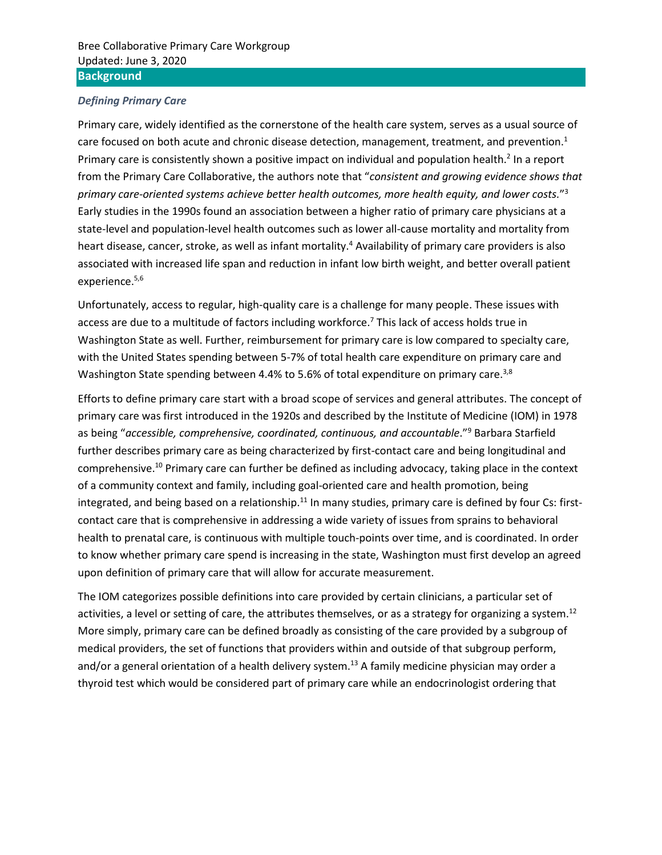#### *Defining Primary Care*

<span id="page-0-0"></span>Primary care, widely identified as the cornerstone of the health care system, serves as a usual source of care focused on both acute and chronic disease detection, management, treatment, and prevention.<sup>1</sup> Primary care is consistently shown a positive impact on individual and population health.<sup>2</sup> In a report from the Primary Care Collaborative, the authors note that "*consistent and growing evidence shows that primary care-oriented systems achieve better health outcomes, more health equity, and lower costs.*" 3 Early studies in the 1990s found an association between a higher ratio of primary care physicians at a state-level and population-level health outcomes such as lower all-cause mortality and mortality from heart disease, cancer, stroke, as well as infant mortality.<sup>4</sup> Availability of primary care providers is also associated with increased life span and reduction in infant low birth weight, and better overall patient experience. 5,6

Unfortunately, access to regular, high-quality care is a challenge for many people. These issues with access are due to a multitude of factors including workforce.<sup>7</sup> This lack of access holds true in Washington State as well. Further, reimbursement for primary care is low compared to specialty care, with the United States spending between 5-7% of total health care expenditure on primary care and Washington State spending between 4.4% to 5.6% of total expenditure on primary care.<sup>[3,8](#page-0-0)</sup>

<span id="page-0-1"></span>Efforts to define primary care start with a broad scope of services and general attributes. The concept of primary care was first introduced in the 1920s and described by the Institute of Medicine (IOM) in 1978 as being "accessible, comprehensive, coordinated, continuous, and accountable."<sup>9</sup> Barbara Starfield further describes primary care as being characterized by first-contact care and being longitudinal and comprehensive. <sup>10</sup> Primary care can further be defined as including advocacy, taking place in the context of a community context and family, including goal-oriented care and health promotion, being integrated, and being based on a relationship.<sup>11</sup> In many studies, primary care is defined by four Cs: firstcontact care that is comprehensive in addressing a wide variety of issues from sprains to behavioral health to prenatal care, is continuous with multiple touch-points over time, and is coordinated. In order to know whether primary care spend is increasing in the state, Washington must first develop an agreed upon definition of primary care that will allow for accurate measurement.

The IOM categorizes possible definitions into care provided by certain clinicians, a particular set of activities, a level or setting of care, the attributes themselves, or as a strategy for organizing a system.<sup>12</sup> More simply, primary care can be defined broadly as consisting of the care provided by a subgroup of medical providers, the set of functions that providers within and outside of that subgroup perform, and/or a general orientation of a health delivery system.<sup>13</sup> A family medicine physician may order a thyroid test which would be considered part of primary care while an endocrinologist ordering that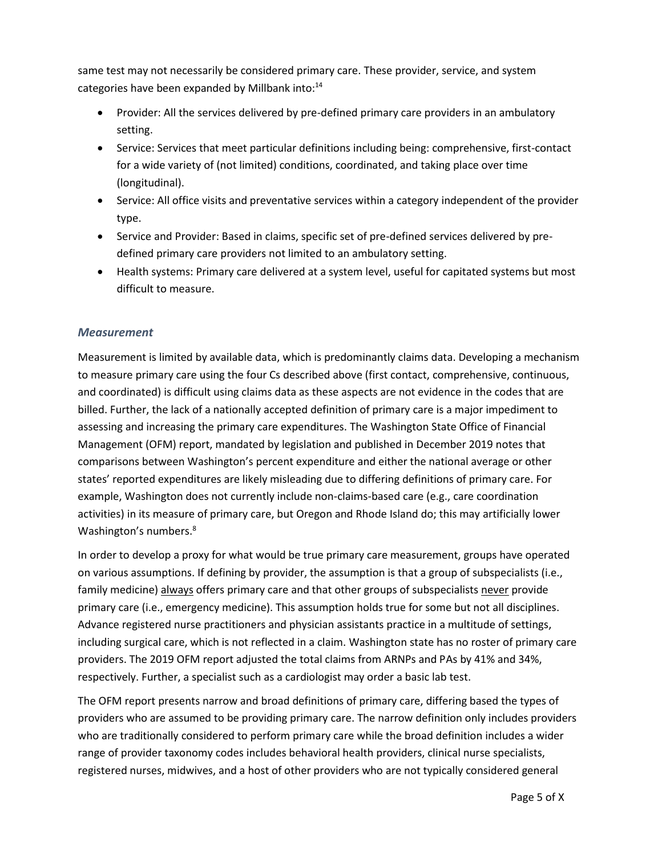same test may not necessarily be considered primary care. These provider, service, and system categories have been expanded by Millbank into:<sup>14</sup>

- Provider: All the services delivered by pre-defined primary care providers in an ambulatory setting.
- Service: Services that meet particular definitions including being: comprehensive, first-contact for a wide variety of (not limited) conditions, coordinated, and taking place over time (longitudinal).
- Service: All office visits and preventative services within a category independent of the provider type.
- Service and Provider: Based in claims, specific set of pre-defined services delivered by predefined primary care providers not limited to an ambulatory setting.
- Health systems: Primary care delivered at a system level, useful for capitated systems but most difficult to measure.

## *Measurement*

Measurement is limited by available data, which is predominantly claims data. Developing a mechanism to measure primary care using the four Cs described above (first contact, comprehensive, continuous, and coordinated) is difficult using claims data as these aspects are not evidence in the codes that are billed. Further, the lack of a nationally accepted definition of primary care is a major impediment to assessing and increasing the primary care expenditures. The Washington State Office of Financial Management (OFM) report, mandated by legislation and published in December 2019 notes that comparisons between Washington's percent expenditure and either the national average or other states' reported expenditures are likely misleading due to differing definitions of primary care. For example, Washington does not currently include non-claims-based care (e.g., care coordination activities) in its measure of primary care, but Oregon and Rhode Island do; this may artificially lower Washington's numbers.<sup>[8](#page-0-1)</sup>

In order to develop a proxy for what would be true primary care measurement, groups have operated on various assumptions. If defining by provider, the assumption is that a group of subspecialists (i.e., family medicine) always offers primary care and that other groups of subspecialists never provide primary care (i.e., emergency medicine). This assumption holds true for some but not all disciplines. Advance registered nurse practitioners and physician assistants practice in a multitude of settings, including surgical care, which is not reflected in a claim. Washington state has no roster of primary care providers. The 2019 OFM report adjusted the total claims from ARNPs and PAs by 41% and 34%, respectively. Further, a specialist such as a cardiologist may order a basic lab test.

The OFM report presents narrow and broad definitions of primary care, differing based the types of providers who are assumed to be providing primary care. The narrow definition only includes providers who are traditionally considered to perform primary care while the broad definition includes a wider range of provider taxonomy codes includes behavioral health providers, clinical nurse specialists, registered nurses, midwives, and a host of other providers who are not typically considered general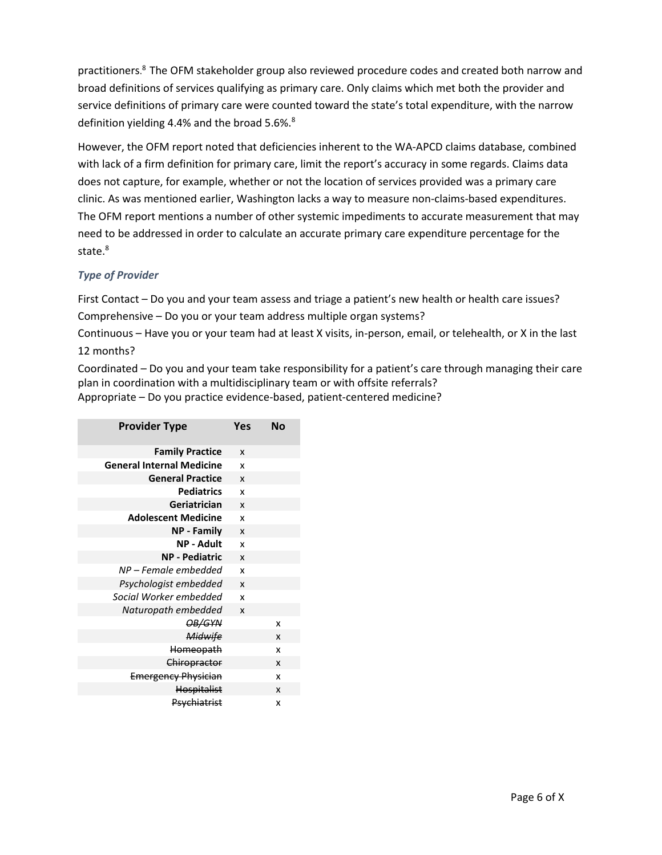practitioners. [8](#page-0-1) The OFM stakeholder group also reviewed procedure codes and created both narrow and broad definitions of services qualifying as primary care. Only claims which met both the provider and service definitions of primary care were counted toward the state's total expenditure, with the narrow definition yielding 4[.](#page-0-1)4% and the broad 5.6%.<sup>8</sup>

However, the OFM report noted that deficiencies inherent to the WA-APCD claims database, combined with lack of a firm definition for primary care, limit the report's accuracy in some regards. Claims data does not capture, for example, whether or not the location of services provided was a primary care clinic. As was mentioned earlier, Washington lacks a way to measure non-claims-based expenditures. The OFM report mentions a number of other systemic impediments to accurate measurement that may need to be addressed in order to calculate an accurate primary care expenditure percentage for the state[.](#page-0-1)<sup>8</sup>

## *Type of Provider*

First Contact – Do you and your team assess and triage a patient's new health or health care issues? Comprehensive – Do you or your team address multiple organ systems?

Continuous – Have you or your team had at least X visits, in-person, email, or telehealth, or X in the last 12 months?

Coordinated – Do you and your team take responsibility for a patient's care through managing their care plan in coordination with a multidisciplinary team or with offsite referrals? Appropriate – Do you practice evidence-based, patient-centered medicine?

| <b>Provider Type</b>             | Yes                       | No |
|----------------------------------|---------------------------|----|
| <b>Family Practice</b>           | X                         |    |
| <b>General Internal Medicine</b> | x                         |    |
| <b>General Practice</b>          | X                         |    |
| <b>Pediatrics</b>                | X                         |    |
| Geriatrician                     | $\boldsymbol{\mathsf{x}}$ |    |
| <b>Adolescent Medicine</b>       | x                         |    |
| <b>NP - Family</b>               | $\boldsymbol{x}$          |    |
| NP - Adult                       | x                         |    |
| <b>NP - Pediatric</b>            | $\boldsymbol{\mathsf{x}}$ |    |
| NP – Female embedded             | x                         |    |
| Psychologist embedded            | $\boldsymbol{\mathsf{x}}$ |    |
| Social Worker embedded           | x                         |    |
| Naturopath embedded              | X                         |    |
| OB/GYN                           |                           | x  |
| Midwife                          |                           | X  |
| Homeopath                        |                           | x  |
| Chiropractor                     |                           | x  |
| <b>Emergency Physician</b>       |                           | x  |
| <b>Hospitalist</b>               |                           | x  |
| Psychiatrist                     |                           | x  |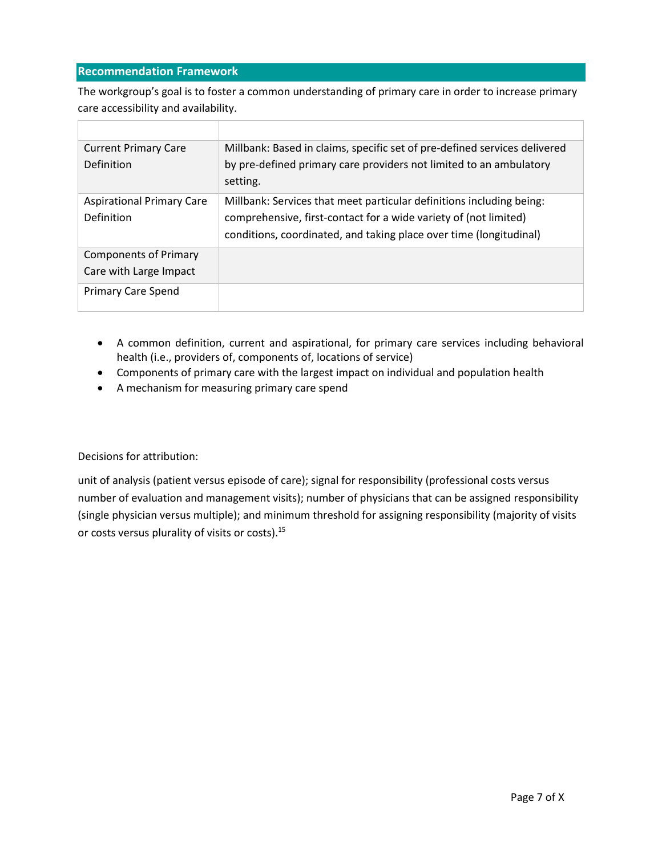## **Recommendation Framework**

The workgroup's goal is to foster a common understanding of primary care in order to increase primary care accessibility and availability.

| <b>Current Primary Care</b>      | Millbank: Based in claims, specific set of pre-defined services delivered |
|----------------------------------|---------------------------------------------------------------------------|
| Definition                       | by pre-defined primary care providers not limited to an ambulatory        |
|                                  | setting.                                                                  |
| <b>Aspirational Primary Care</b> | Millbank: Services that meet particular definitions including being:      |
| Definition                       | comprehensive, first-contact for a wide variety of (not limited)          |
|                                  | conditions, coordinated, and taking place over time (longitudinal)        |
| <b>Components of Primary</b>     |                                                                           |
| Care with Large Impact           |                                                                           |
| <b>Primary Care Spend</b>        |                                                                           |

- A common definition, current and aspirational, for primary care services including behavioral health (i.e., providers of, components of, locations of service)
- Components of primary care with the largest impact on individual and population health
- A mechanism for measuring primary care spend

Decisions for attribution:

unit of analysis (patient versus episode of care); signal for responsibility (professional costs versus number of evaluation and management visits); number of physicians that can be assigned responsibility (single physician versus multiple); and minimum threshold for assigning responsibility (majority of visits or costs versus plurality of visits or costs).15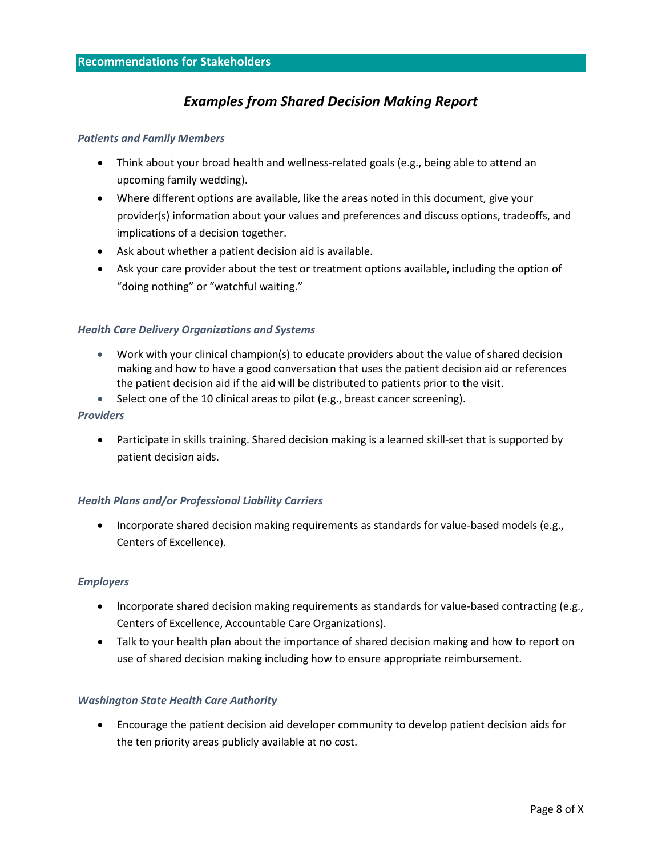# *Examples from Shared Decision Making Report*

#### *Patients and Family Members*

- Think about your broad health and wellness-related goals (e.g., being able to attend an upcoming family wedding).
- Where different options are available, like the areas noted in this document, give your provider(s) information about your values and preferences and discuss options, tradeoffs, and implications of a decision together.
- Ask about whether a patient decision aid is available.
- Ask your care provider about the test or treatment options available, including the option of "doing nothing" or "watchful waiting."

#### *Health Care Delivery Organizations and Systems*

- Work with your clinical champion(s) to educate providers about the value of shared decision making and how to have a good conversation that uses the patient decision aid or references the patient decision aid if the aid will be distributed to patients prior to the visit.
- Select one of the 10 clinical areas to pilot (e.g., breast cancer screening).

#### *Providers*

• Participate in skills training. Shared decision making is a learned skill-set that is supported by patient decision aids.

#### *Health Plans and/or Professional Liability Carriers*

• Incorporate shared decision making requirements as standards for value-based models (e.g., Centers of Excellence).

#### *Employers*

- Incorporate shared decision making requirements as standards for value-based contracting (e.g., Centers of Excellence, Accountable Care Organizations).
- Talk to your health plan about the importance of shared decision making and how to report on use of shared decision making including how to ensure appropriate reimbursement.

#### *Washington State Health Care Authority*

• Encourage the patient decision aid developer community to develop patient decision aids for the ten priority areas publicly available at no cost.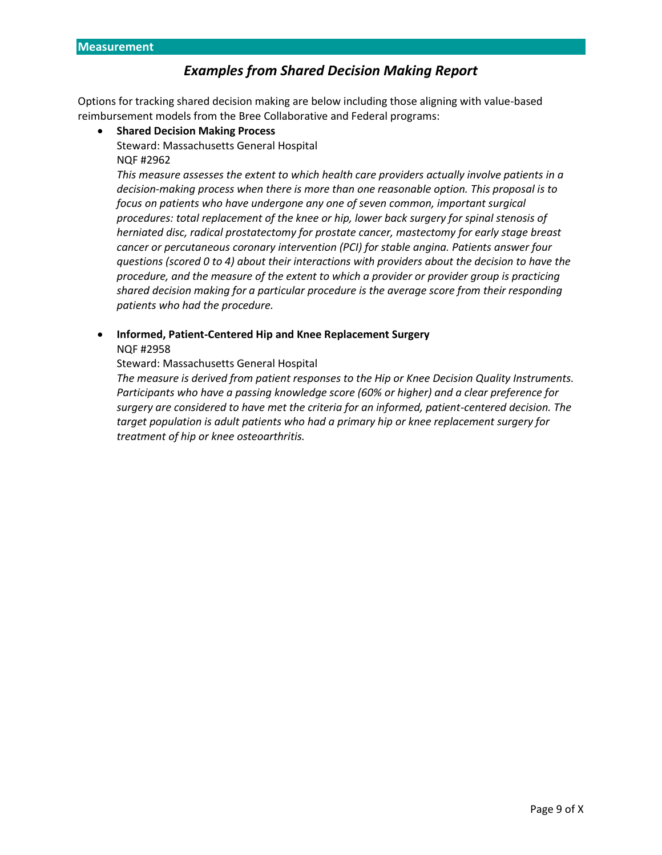# *Examples from Shared Decision Making Report*

Options for tracking shared decision making are below including those aligning with value-based reimbursement models from the Bree Collaborative and Federal programs:

- **Shared Decision Making Process**
	- Steward: Massachusetts General Hospital NQF #2962

*This measure assesses the extent to which health care providers actually involve patients in a decision-making process when there is more than one reasonable option. This proposal is to focus on patients who have undergone any one of seven common, important surgical procedures: total replacement of the knee or hip, lower back surgery for spinal stenosis of herniated disc, radical prostatectomy for prostate cancer, mastectomy for early stage breast cancer or percutaneous coronary intervention (PCI) for stable angina. Patients answer four questions (scored 0 to 4) about their interactions with providers about the decision to have the procedure, and the measure of the extent to which a provider or provider group is practicing shared decision making for a particular procedure is the average score from their responding patients who had the procedure.*

• **Informed, Patient-Centered Hip and Knee Replacement Surgery**  NQF #2958

Steward: Massachusetts General Hospital

*The measure is derived from patient responses to the Hip or Knee Decision Quality Instruments. Participants who have a passing knowledge score (60% or higher) and a clear preference for surgery are considered to have met the criteria for an informed, patient-centered decision. The target population is adult patients who had a primary hip or knee replacement surgery for treatment of hip or knee osteoarthritis.*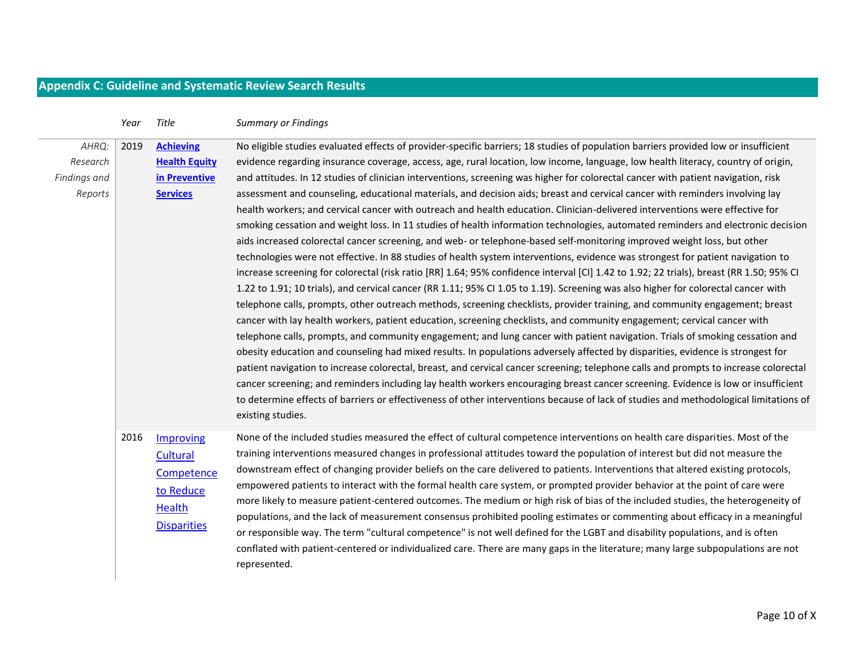# **Appendix C: Guideline and Systematic Review Search Results**

|                                                                                                                                      | Year | Title                                                                            | <b>Summary or Findings</b>                                                                                                                                                                                                                                                                                                                                                                                                                                                                                                                                                                                                                                                                                                                                                                                                                                                                                                                                                                                                                                                                                                                                                                                                                                                                                                                                                                                                                                                                                                                                                                                                                                                                                                                                                                                                                                                                                                                                                                                                                                                                                                                                                                                                                                                                                                               |
|--------------------------------------------------------------------------------------------------------------------------------------|------|----------------------------------------------------------------------------------|------------------------------------------------------------------------------------------------------------------------------------------------------------------------------------------------------------------------------------------------------------------------------------------------------------------------------------------------------------------------------------------------------------------------------------------------------------------------------------------------------------------------------------------------------------------------------------------------------------------------------------------------------------------------------------------------------------------------------------------------------------------------------------------------------------------------------------------------------------------------------------------------------------------------------------------------------------------------------------------------------------------------------------------------------------------------------------------------------------------------------------------------------------------------------------------------------------------------------------------------------------------------------------------------------------------------------------------------------------------------------------------------------------------------------------------------------------------------------------------------------------------------------------------------------------------------------------------------------------------------------------------------------------------------------------------------------------------------------------------------------------------------------------------------------------------------------------------------------------------------------------------------------------------------------------------------------------------------------------------------------------------------------------------------------------------------------------------------------------------------------------------------------------------------------------------------------------------------------------------------------------------------------------------------------------------------------------------|
| 2019<br><b>Achieving</b><br>AHRQ:<br><b>Health Equity</b><br>Research<br>Findings and<br>in Preventive<br><b>Services</b><br>Reports |      |                                                                                  | No eligible studies evaluated effects of provider-specific barriers; 18 studies of population barriers provided low or insufficient<br>evidence regarding insurance coverage, access, age, rural location, low income, language, low health literacy, country of origin,<br>and attitudes. In 12 studies of clinician interventions, screening was higher for colorectal cancer with patient navigation, risk<br>assessment and counseling, educational materials, and decision aids; breast and cervical cancer with reminders involving lay<br>health workers; and cervical cancer with outreach and health education. Clinician-delivered interventions were effective for<br>smoking cessation and weight loss. In 11 studies of health information technologies, automated reminders and electronic decision<br>aids increased colorectal cancer screening, and web- or telephone-based self-monitoring improved weight loss, but other<br>technologies were not effective. In 88 studies of health system interventions, evidence was strongest for patient navigation to<br>increase screening for colorectal (risk ratio [RR] 1.64; 95% confidence interval [CI] 1.42 to 1.92; 22 trials), breast (RR 1.50; 95% CI<br>1.22 to 1.91; 10 trials), and cervical cancer (RR 1.11; 95% CI 1.05 to 1.19). Screening was also higher for colorectal cancer with<br>telephone calls, prompts, other outreach methods, screening checklists, provider training, and community engagement; breast<br>cancer with lay health workers, patient education, screening checklists, and community engagement; cervical cancer with<br>telephone calls, prompts, and community engagement; and lung cancer with patient navigation. Trials of smoking cessation and<br>obesity education and counseling had mixed results. In populations adversely affected by disparities, evidence is strongest for<br>patient navigation to increase colorectal, breast, and cervical cancer screening; telephone calls and prompts to increase colorectal<br>cancer screening; and reminders including lay health workers encouraging breast cancer screening. Evidence is low or insufficient<br>to determine effects of barriers or effectiveness of other interventions because of lack of studies and methodological limitations of<br>existing studies. |
|                                                                                                                                      | 2016 | Improving<br>Cultural<br>Competence<br>to Reduce<br>Health<br><b>Disparities</b> | None of the included studies measured the effect of cultural competence interventions on health care disparities. Most of the<br>training interventions measured changes in professional attitudes toward the population of interest but did not measure the<br>downstream effect of changing provider beliefs on the care delivered to patients. Interventions that altered existing protocols,<br>empowered patients to interact with the formal health care system, or prompted provider behavior at the point of care were<br>more likely to measure patient-centered outcomes. The medium or high risk of bias of the included studies, the heterogeneity of<br>populations, and the lack of measurement consensus prohibited pooling estimates or commenting about efficacy in a meaningful<br>or responsible way. The term "cultural competence" is not well defined for the LGBT and disability populations, and is often<br>conflated with patient-centered or individualized care. There are many gaps in the literature; many large subpopulations are not<br>represented.                                                                                                                                                                                                                                                                                                                                                                                                                                                                                                                                                                                                                                                                                                                                                                                                                                                                                                                                                                                                                                                                                                                                                                                                                                                    |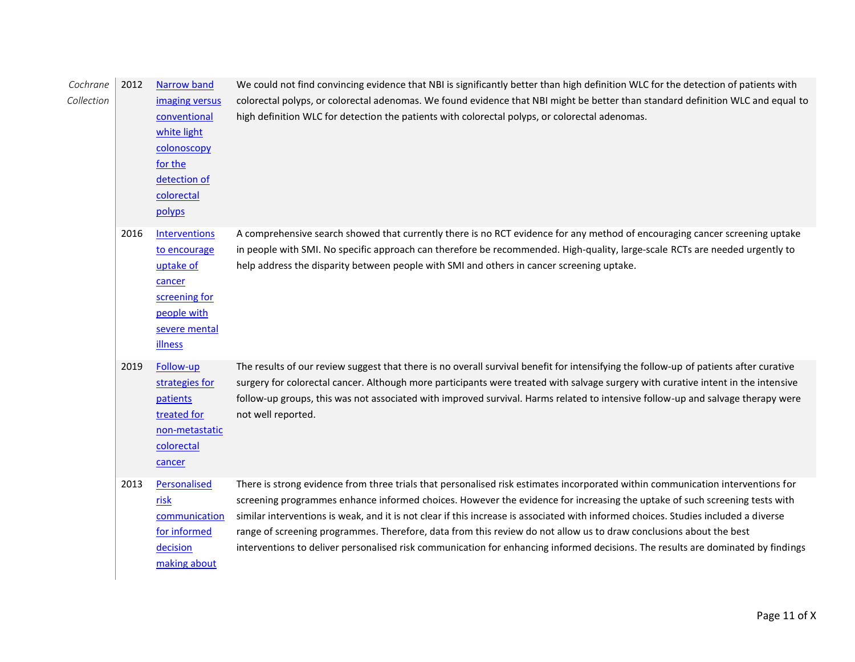| Cochrane<br>Collection | 2012 | <b>Narrow band</b><br>imaging versus<br>conventional<br>white light<br>colonoscopy<br>for the<br>detection of<br>colorectal<br>polyps | We could not find convincing evidence that NBI is significantly better than high definition WLC for the detection of patients with<br>colorectal polyps, or colorectal adenomas. We found evidence that NBI might be better than standard definition WLC and equal to<br>high definition WLC for detection the patients with colorectal polyps, or colorectal adenomas.                                                                                                                                                                                                                                                                                        |
|------------------------|------|---------------------------------------------------------------------------------------------------------------------------------------|----------------------------------------------------------------------------------------------------------------------------------------------------------------------------------------------------------------------------------------------------------------------------------------------------------------------------------------------------------------------------------------------------------------------------------------------------------------------------------------------------------------------------------------------------------------------------------------------------------------------------------------------------------------|
|                        | 2016 | <b>Interventions</b><br>to encourage<br>uptake of<br>cancer<br>screening for<br>people with<br>severe mental<br><b>illness</b>        | A comprehensive search showed that currently there is no RCT evidence for any method of encouraging cancer screening uptake<br>in people with SMI. No specific approach can therefore be recommended. High-quality, large-scale RCTs are needed urgently to<br>help address the disparity between people with SMI and others in cancer screening uptake.                                                                                                                                                                                                                                                                                                       |
|                        | 2019 | Follow-up<br>strategies for<br>patients<br>treated for<br>non-metastatic<br>colorectal<br>cancer                                      | The results of our review suggest that there is no overall survival benefit for intensifying the follow-up of patients after curative<br>surgery for colorectal cancer. Although more participants were treated with salvage surgery with curative intent in the intensive<br>follow-up groups, this was not associated with improved survival. Harms related to intensive follow-up and salvage therapy were<br>not well reported.                                                                                                                                                                                                                            |
|                        | 2013 | Personalised<br>risk<br>communication<br>for informed<br>decision<br>making about                                                     | There is strong evidence from three trials that personalised risk estimates incorporated within communication interventions for<br>screening programmes enhance informed choices. However the evidence for increasing the uptake of such screening tests with<br>similar interventions is weak, and it is not clear if this increase is associated with informed choices. Studies included a diverse<br>range of screening programmes. Therefore, data from this review do not allow us to draw conclusions about the best<br>interventions to deliver personalised risk communication for enhancing informed decisions. The results are dominated by findings |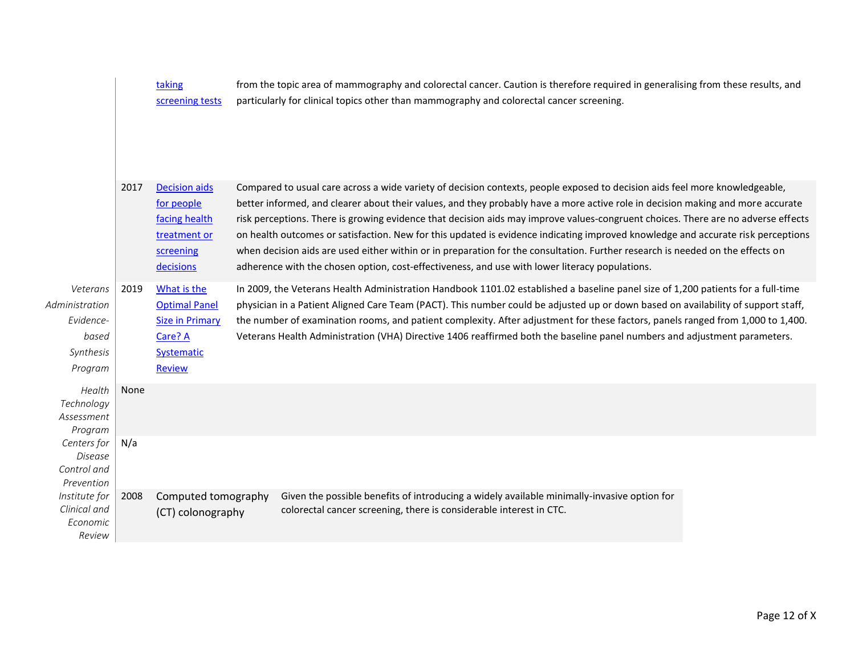|                                                                          |      | taking<br>screening tests                                                                               | from the topic area of mammography and colorectal cancer. Caution is therefore required in generalising from these results, and<br>particularly for clinical topics other than mammography and colorectal cancer screening.                                                                                                                                                                                                                                                                                                                                                                                                                                                                                                                                                 |  |
|--------------------------------------------------------------------------|------|---------------------------------------------------------------------------------------------------------|-----------------------------------------------------------------------------------------------------------------------------------------------------------------------------------------------------------------------------------------------------------------------------------------------------------------------------------------------------------------------------------------------------------------------------------------------------------------------------------------------------------------------------------------------------------------------------------------------------------------------------------------------------------------------------------------------------------------------------------------------------------------------------|--|
|                                                                          | 2017 | <b>Decision aids</b><br>for people<br>facing health<br>treatment or<br>screening<br>decisions           | Compared to usual care across a wide variety of decision contexts, people exposed to decision aids feel more knowledgeable,<br>better informed, and clearer about their values, and they probably have a more active role in decision making and more accurate<br>risk perceptions. There is growing evidence that decision aids may improve values-congruent choices. There are no adverse effects<br>on health outcomes or satisfaction. New for this updated is evidence indicating improved knowledge and accurate risk perceptions<br>when decision aids are used either within or in preparation for the consultation. Further research is needed on the effects on<br>adherence with the chosen option, cost-effectiveness, and use with lower literacy populations. |  |
| Veterans<br>Administration<br>Evidence-<br>based<br>Synthesis<br>Program | 2019 | What is the<br><b>Optimal Panel</b><br><b>Size in Primary</b><br>Care? A<br>Systematic<br><b>Review</b> | In 2009, the Veterans Health Administration Handbook 1101.02 established a baseline panel size of 1,200 patients for a full-time<br>physician in a Patient Aligned Care Team (PACT). This number could be adjusted up or down based on availability of support staff,<br>the number of examination rooms, and patient complexity. After adjustment for these factors, panels ranged from 1,000 to 1,400.<br>Veterans Health Administration (VHA) Directive 1406 reaffirmed both the baseline panel numbers and adjustment parameters.                                                                                                                                                                                                                                       |  |
| Health<br>Technology<br>Assessment<br>Program                            | None |                                                                                                         |                                                                                                                                                                                                                                                                                                                                                                                                                                                                                                                                                                                                                                                                                                                                                                             |  |
| Centers for<br>Disease<br>Control and<br>Prevention                      | N/a  |                                                                                                         |                                                                                                                                                                                                                                                                                                                                                                                                                                                                                                                                                                                                                                                                                                                                                                             |  |
| Institute for<br>Clinical and<br>Economic<br>Review                      | 2008 | Computed tomography<br>(CT) colonography                                                                | Given the possible benefits of introducing a widely available minimally-invasive option for<br>colorectal cancer screening, there is considerable interest in CTC.                                                                                                                                                                                                                                                                                                                                                                                                                                                                                                                                                                                                          |  |